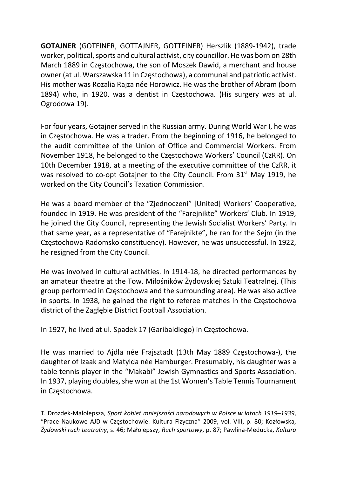GOTAJNER (GOTEINER, GOTTAJNER, GOTTEINER) Herszlik (1889-1942), trade worker, political, sports and cultural activist, city councillor. He was born on 28th March 1889 in Częstochowa, the son of Moszek Dawid, a merchant and house owner (at ul. Warszawska 11 in Częstochowa), a communal and patriotic activist. His mother was Rozalia Rajza née Horowicz. He was the brother of Abram (born 1894) who, in 1920, was a dentist in Częstochowa. (His surgery was at ul. Ogrodowa 19).

For four years, Gotajner served in the Russian army. During World War I, he was in Częstochowa. He was a trader. From the beginning of 1916, he belonged to the audit committee of the Union of Office and Commercial Workers. From November 1918, he belonged to the Częstochowa Workers' Council (CzRR). On 10th December 1918, at a meeting of the executive committee of the CzRR, it was resolved to co-opt Gotajner to the City Council. From 31<sup>st</sup> May 1919, he worked on the City Council's Taxation Commission.

He was a board member of the "Zjednoczeni" [United] Workers' Cooperative, founded in 1919. He was president of the "Farejnikte" Workers' Club. In 1919, he joined the City Council, representing the Jewish Socialist Workers' Party. In that same year, as a representative of "Farejnikte", he ran for the Sejm (in the Częstochowa-Radomsko constituency). However, he was unsuccessful. In 1922, he resigned from the City Council.

He was involved in cultural activities. In 1914-18, he directed performances by an amateur theatre at the Tow. Miłośników Żydowskiej Sztuki Teatralnej. (This group performed in Częstochowa and the surrounding area). He was also active in sports. In 1938, he gained the right to referee matches in the Częstochowa district of the Zagłębie District Football Association.

In 1927, he lived at ul. Spadek 17 (Garibaldiego) in Częstochowa.

He was married to Ajdla née Frajsztadt (13th May 1889 Częstochowa-), the daughter of Izaak and Matylda née Hamburger. Presumably, his daughter was a table tennis player in the "Makabi" Jewish Gymnastics and Sports Association. In 1937, playing doubles, she won at the 1st Women's Table Tennis Tournament in Częstochowa.

T. Drozdek-Małolepsza, Sport kobiet mniejszości narodowych w Polsce w latach 1919–1939, "Prace Naukowe AJD w Częstochowie. Kultura Fizyczna" 2009, vol. VIII, p. 80; Kozłowska, Żydowski ruch teatralny, s. 46; Małolepszy, Ruch sportowy, p. 87; Pawlina-Meducka, Kultura